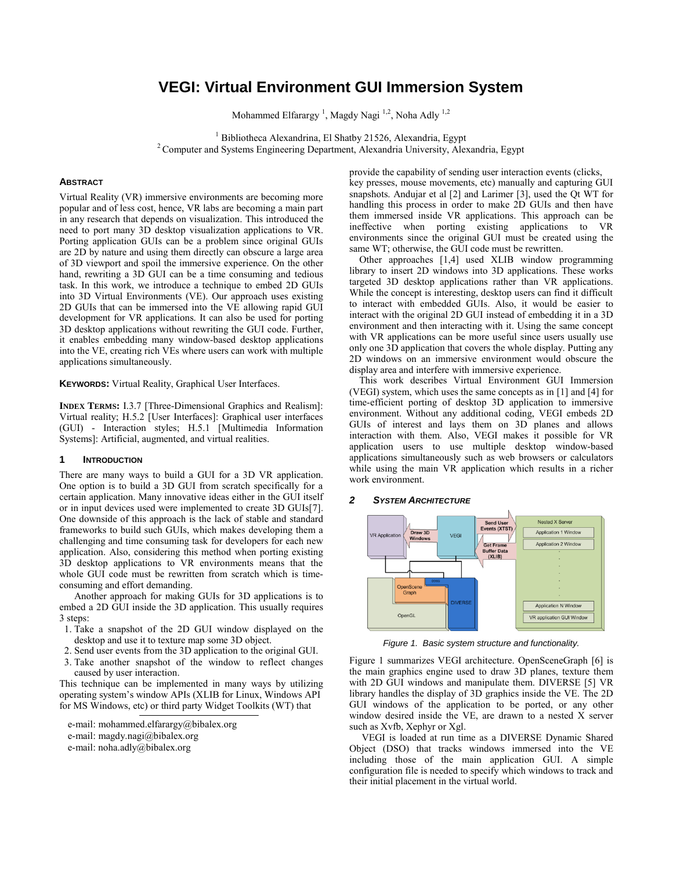# **VEGI: Virtual Environment GUI Immersion System**

Mohammed Elfarargy<sup>1</sup>, Magdy Nagi<sup>1,2</sup>, Noha Adly<sup>1,2</sup>

<sup>1</sup> Bibliotheca Alexandrina, El Shatby 21526, Alexandria, Egypt <sup>2</sup> Computer and Systems Engineering Department, Alexandria University, Alexandria, Egypt

### **ABSTRACT**

Virtual Reality (VR) immersive environments are becoming more popular and of less cost, hence, VR labs are becoming a main part in any research that depends on visualization. This introduced the need to port many 3D desktop visualization applications to VR. Porting application GUIs can be a problem since original GUIs are 2D by nature and using them directly can obscure a large area of 3D viewport and spoil the immersive experience. On the other hand, rewriting a 3D GUI can be a time consuming and tedious task. In this work, we introduce a technique to embed 2D GUIs into 3D Virtual Environments (VE). Our approach uses existing 2D GUIs that can be immersed into the VE allowing rapid GUI development for VR applications. It can also be used for porting 3D desktop applications without rewriting the GUI code. Further, it enables embedding many window-based desktop applications into the VE, creating rich VEs where users can work with multiple applications simultaneously.

**KEYWORDS:** Virtual Reality, Graphical User Interfaces.

**INDEX TERMS:** I.3.7 [Three-Dimensional Graphics and Realism]: Virtual reality; H.5.2 [User Interfaces]: Graphical user interfaces (GUI) - Interaction styles; H.5.1 [Multimedia Information Systems]: Artificial, augmented, and virtual realities.

## **1 INTRODUCTION**

There are many ways to build a GUI for a 3D VR application. One option is to build a 3D GUI from scratch specifically for a certain application. Many innovative ideas either in the GUI itself or in input devices used were implemented to create 3D GUIs[7]. One downside of this approach is the lack of stable and standard frameworks to build such GUIs, which makes developing them a challenging and time consuming task for developers for each new application. Also, considering this method when porting existing 3D desktop applications to VR environments means that the whole GUI code must be rewritten from scratch which is timeconsuming and effort demanding.

Another approach for making GUIs for 3D applications is to embed a 2D GUI inside the 3D application. This usually requires 3 steps:

- 1. Take a snapshot of the 2D GUI window displayed on the desktop and use it to texture map some 3D object.
- 2. Send user events from the 3D application to the original GUI.
- 3. Take another snapshot of the window to reflect changes caused by user interaction.

This technique can be implemented in many ways by utilizing operating system's window APIs (XLIB for Linux, Windows API for MS Windows, etc) or third party Widget Toolkits (WT) that

e-mail[: mohammed.elfarargy@bibalex.org](mailto:mohammed.elfarargy@bibalex.org) e-mail[: magdy.nagi@bibalex.org](mailto:magdy.nagi@bibalex.org) e-mail[: noha.adly@bibalex.org](mailto:noha.adly@bibalex.org)

provide the capability of sending user interaction events (clicks, key presses, mouse movements, etc) manually and capturing GUI snapshots. Andujar et al [2] and Larimer [3], used the Qt WT for handling this process in order to make 2D GUIs and then have them immersed inside VR applications. This approach can be ineffective when porting existing applications to VR environments since the original GUI must be created using the same WT; otherwise, the GUI code must be rewritten.

 Other approaches [1,4] used XLIB window programming library to insert 2D windows into 3D applications. These works targeted 3D desktop applications rather than VR applications. While the concept is interesting, desktop users can find it difficult to interact with embedded GUIs. Also, it would be easier to interact with the original 2D GUI instead of embedding it in a 3D environment and then interacting with it. Using the same concept with VR applications can be more useful since users usually use only one 3D application that covers the whole display. Putting any 2D windows on an immersive environment would obscure the display area and interfere with immersive experience.

 This work describes Virtual Environment GUI Immersion (VEGI) system, which uses the same concepts as in [1] and [4] for time-efficient porting of desktop 3D application to immersive environment. Without any additional coding, VEGI embeds 2D GUIs of interest and lays them on 3D planes and allows interaction with them. Also, VEGI makes it possible for VR application users to use multiple desktop window-based applications simultaneously such as web browsers or calculators while using the main VR application which results in a richer work environment.

## **2** SYSTEM **ARCHITECTURE**



*Figure 1. Basic system structure and functionality.*

Figure 1 summarizes VEGI architecture. OpenSceneGraph [6] is the main graphics engine used to draw 3D planes, texture them with 2D GUI windows and manipulate them. DIVERSE [5] VR library handles the display of 3D graphics inside the VE. The 2D GUI windows of the application to be ported, or any other window desired inside the VE, are drawn to a nested X server such as Xvfb, Xephyr or Xgl.

 VEGI is loaded at run time as a DIVERSE Dynamic Shared Object (DSO) that tracks windows immersed into the VE including those of the main application GUI. A simple configuration file is needed to specify which windows to track and their initial placement in the virtual world.